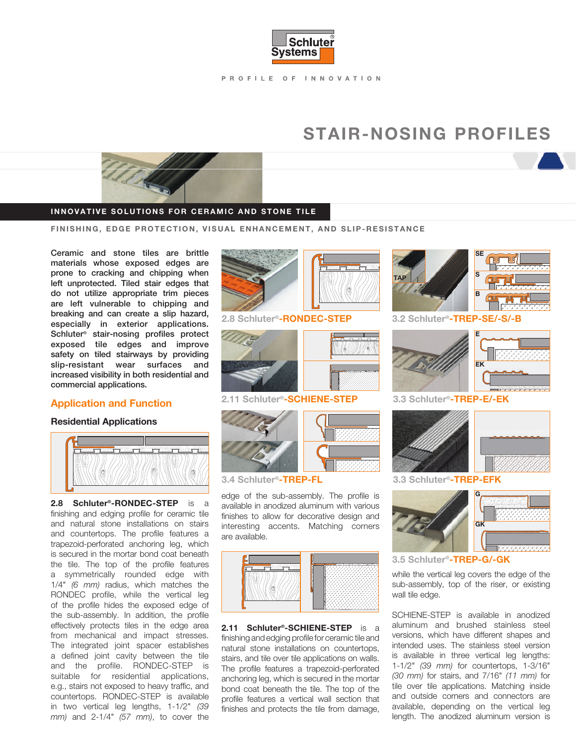

PROFILE OF INNOVATION

## STAIR-NOSING PROFILES



#### INNOVATIVE SOLUTIONS FOR CERAMIC AND STONE TILE

FINISHING, EDGE PROTECTION, VISUAL ENHANCEMENT, AND SLIP-RESISTANCE

Ceramic and stone tiles are brittle materials whose exposed edges are prone to cracking and chipping when left unprotected. Tiled stair edges that do not utilize appropriate trim pieces are left vulnerable to chipping and breaking and can create a slip hazard, especially in exterior applications. Schluter® stair-nosing profiles protect exposed tile edges and improve safety on tiled stairways by providing slip-resistant wear surfaces and increased visibility in both residential and commercial applications.

#### Application and Function

#### Residential Applications



2.8 Schluter®-RONDEC-STEP is a finishing and edging profile for ceramic tile and natural stone installations on stairs and countertops. The profile features a trapezoid-perforated anchoring leg, which is secured in the mortar bond coat beneath the tile. The top of the profile features a symmetrically rounded edge with 1/4" (6 mm) radius, which matches the RONDEC profile, while the vertical leg of the profile hides the exposed edge of the sub-assembly. In addition, the profile effectively protects tiles in the edge area from mechanical and impact stresses. The integrated joint spacer establishes a defined joint cavity between the tile and the profile. RONDEC-STEP is suitable for residential applications, e.g., stairs not exposed to heavy traffic, and countertops. RONDEC-STEP is available in two vertical leg lengths, 1-1/2" (39 mm) and 2-1/4" (57 mm), to cover the



#### 2.8 Schluter®-RONDEC-STEP



2.11 Schluter®-SCHIENE-STEP





edge of the sub-assembly. The profile is available in anodized aluminum with various finishes to allow for decorative design and interesting accents. Matching corners are available.



2.11 Schluter<sup>®</sup>-SCHIENE-STEP is a finishing and edging profile for ceramic tile and natural stone installations on countertops, stairs, and tile over tile applications on walls. The profile features a trapezoid-perforated anchoring leg, which is secured in the mortar bond coat beneath the tile. The top of the profile features a vertical wall section that finishes and protects the tile from damage,



3.2 Schluter®-TREP-SE/-S/-B



187

3.3 Schluter®-TREP-E/-EK



3.3 Schluter®-TREP-EFK



3.5 Schluter®-TREP-G/-GK

while the vertical leg covers the edge of the sub-assembly, top of the riser, or existing wall tile edge.

SCHIENE-STEP is available in anodized aluminum and brushed stainless steel versions, which have different shapes and intended uses. The stainless steel version is available in three vertical leg lengths: 1-1/2" (39 mm) for countertops, 1-3/16" (30 mm) for stairs, and 7/16" (11 mm) for tile over tile applications. Matching inside and outside corners and connectors are available, depending on the vertical leg length. The anodized aluminum version is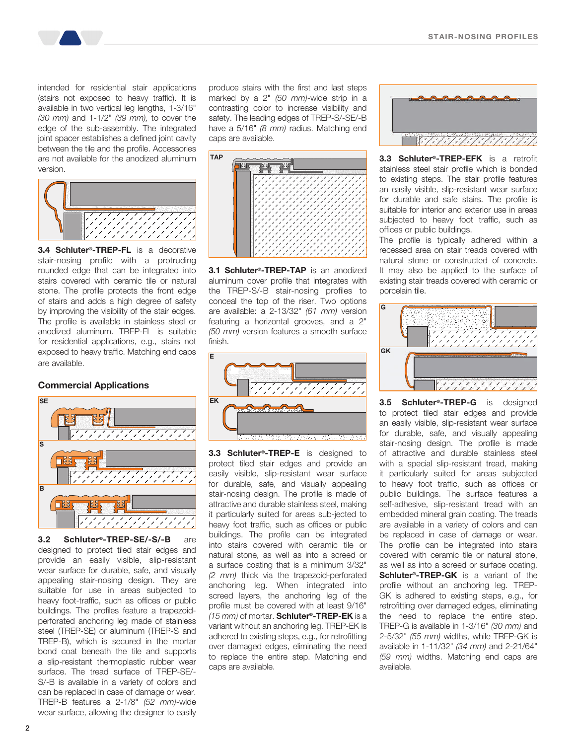intended for residential stair applications (stairs not exposed to heavy traffic). It is available in two vertical leg lengths, 1-3/16" (30 mm) and 1-1/2" (39 mm), to cover the edge of the sub-assembly. The integrated joint spacer establishes a defined joint cavity between the tile and the profile. Accessories are not available for the anodized aluminum version.



**3.4 Schluter<sup>®</sup>-TREP-FL** is a decorative stair-nosing profile with a protruding rounded edge that can be integrated into stairs covered with ceramic tile or natural stone. The profile protects the front edge of stairs and adds a high degree of safety by improving the visibility of the stair edges. The profile is available in stainless steel or anodized aluminum. TREP-FL is suitable for residential applications, e.g., stairs not exposed to heavy traffic. Matching end caps are available.

#### Commercial Applications



3.2 Schluter®-TREP-SE/-S/-B are designed to protect tiled stair edges and provide an easily visible, slip-resistant wear surface for durable, safe, and visually appealing stair-nosing design. They are suitable for use in areas subjected to heavy foot-traffic, such as offices or public buildings. The profiles feature a trapezoidperforated anchoring leg made of stainless steel (TREP-SE) or aluminum (TREP-S and TREP-B), which is secured in the mortar bond coat beneath the tile and supports a slip-resistant thermoplastic rubber wear surface. The tread surface of TREP-SE/- S/-B is available in a variety of colors and can be replaced in case of damage or wear. TREP-B features a 2-1/8" (52 mm)-wide wear surface, allowing the designer to easily

produce stairs with the first and last steps marked by a 2" (50 mm)-wide strip in a contrasting color to increase visibility and safety. The leading edges of TREP-S/-SE/-B have a 5/16" (8 mm) radius. Matching end caps are available.



3.1 Schluter<sup>®</sup>-TREP-TAP is an anodized aluminum cover profile that integrates with the TREP-S/-B stair-nosing profiles to conceal the top of the riser. Two options are available: a 2-13/32" (61 mm) version featuring a horizontal grooves, and a 2" (50 mm) version features a smooth surface finish.



3.3 Schluter<sup>®</sup>-TREP-E is designed to protect tiled stair edges and provide an easily visible, slip-resistant wear surface for durable, safe, and visually appealing stair-nosing design. The profile is made of attractive and durable stainless steel, making it particularly suited for areas sub-jected to heavy foot traffic, such as offices or public buildings. The profile can be integrated into stairs covered with ceramic tile or natural stone, as well as into a screed or a surface coating that is a minimum 3/32" (2 mm) thick via the trapezoid-perforated anchoring leg. When integrated into screed layers, the anchoring leg of the profile must be covered with at least 9/16" (15 mm) of mortar. Schluter®-TREP-EK is a variant without an anchoring leg. TREP-EK is adhered to existing steps, e.g., for retrofitting over damaged edges, eliminating the need to replace the entire step. Matching end caps are available.



**3.3 Schluter<sup>®</sup>-TREP-EFK** is a retrofit stainless steel stair profile which is bonded to existing steps. The stair profile features an easily visible, slip-resistant wear surface for durable and safe stairs. The profile is suitable for interior and exterior use in areas subjected to heavy foot traffic, such as offices or public buildings.

The profile is typically adhered within a recessed area on stair treads covered with natural stone or constructed of concrete. It may also be applied to the surface of existing stair treads covered with ceramic or porcelain tile.



3.5 **Schluter<sup>®</sup>-TREP-G** is designed to protect tiled stair edges and provide an easily visible, slip-resistant wear surface for durable, safe, and visually appealing stair-nosing design. The profile is made of attractive and durable stainless steel with a special slip-resistant tread, making it particularly suited for areas subjected to heavy foot traffic, such as offices or public buildings. The surface features a self-adhesive, slip-resistant tread with an embedded mineral grain coating. The treads are available in a variety of colors and can be replaced in case of damage or wear. The profile can be integrated into stairs covered with ceramic tile or natural stone, as well as into a screed or surface coating. Schluter<sup>®</sup>-TREP-GK is a variant of the profile without an anchoring leg. TREP-GK is adhered to existing steps, e.g., for retrofitting over damaged edges, eliminating the need to replace the entire step. TREP-G is available in 1-3/16" (30 mm) and 2-5/32" (55 mm) widths, while TREP-GK is available in 1-11/32" (34 mm) and 2-21/64" (59 mm) widths. Matching end caps are available.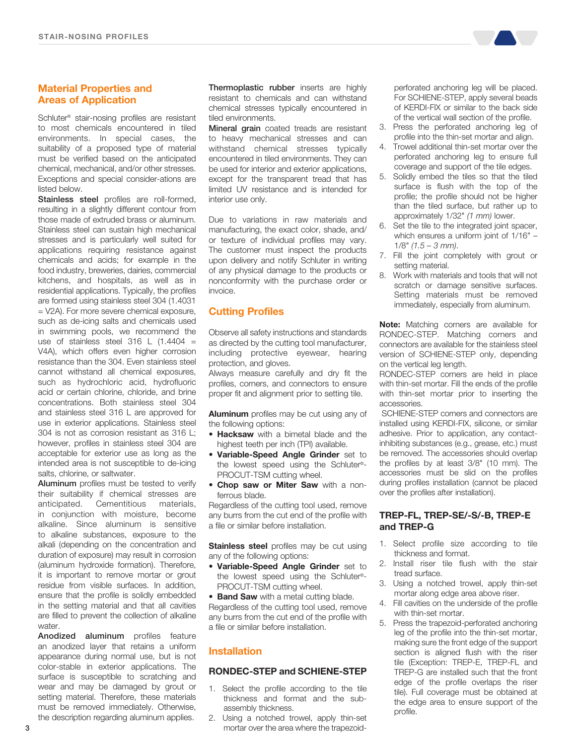#### Material Properties and Areas of Application

Schluter® stair-nosing profiles are resistant to most chemicals encountered in tiled environments. In special cases, the suitability of a proposed type of material must be verified based on the anticipated chemical, mechanical, and/or other stresses. Exceptions and special consider-ations are listed below.

Stainless steel profiles are roll-formed, resulting in a slightly different contour from those made of extruded brass or aluminum. Stainless steel can sustain high mechanical stresses and is particularly well suited for applications requiring resistance against chemicals and acids; for example in the food industry, breweries, dairies, commercial kitchens, and hospitals, as well as in residential applications. Typically, the profiles are formed using stainless steel 304 (1.4031 = V2A). For more severe chemical exposure, such as de-icing salts and chemicals used in swimming pools, we recommend the use of stainless steel 316 L  $(1.4404 =$ V4A), which offers even higher corrosion resistance than the 304. Even stainless steel cannot withstand all chemical exposures, such as hydrochloric acid, hydrofluoric acid or certain chlorine, chloride, and brine concentrations. Both stainless steel 304 and stainless steel 316 L are approved for use in exterior applications. Stainless steel 304 is not as corrosion resistant as 316 L; however, profiles in stainless steel 304 are acceptable for exterior use as long as the intended area is not susceptible to de-icing salts, chlorine, or saltwater.

**Aluminum** profiles must be tested to verify their suitability if chemical stresses are anticipated. Cementitious materials, in conjunction with moisture, become alkaline. Since aluminum is sensitive to alkaline substances, exposure to the alkali (depending on the concentration and duration of exposure) may result in corrosion (aluminum hydroxide formation). Therefore, it is important to remove mortar or grout residue from visible surfaces. In addition, ensure that the profile is solidly embedded in the setting material and that all cavities are filled to prevent the collection of alkaline water.

Anodized aluminum profiles feature an anodized layer that retains a uniform appearance during normal use, but is not color-stable in exterior applications. The surface is susceptible to scratching and wear and may be damaged by grout or setting material. Therefore, these materials must be removed immediately. Otherwise, the description regarding aluminum applies.

Thermoplastic rubber inserts are highly resistant to chemicals and can withstand chemical stresses typically encountered in tiled environments.

Mineral grain coated treads are resistant to heavy mechanical stresses and can withstand chemical stresses typically encountered in tiled environments. They can be used for interior and exterior applications, except for the transparent tread that has limited UV resistance and is intended for interior use only.

Due to variations in raw materials and manufacturing, the exact color, shade, and/ or texture of individual profiles may vary. The customer must inspect the products upon delivery and notify Schluter in writing of any physical damage to the products or nonconformity with the purchase order or invoice.

#### Cutting Profiles

Observe all safety instructions and standards as directed by the cutting tool manufacturer, including protective eyewear, hearing protection, and gloves.

Always measure carefully and dry fit the profiles, corners, and connectors to ensure proper fit and alignment prior to setting tile.

Aluminum profiles may be cut using any of the following options:

- Hacksaw with a bimetal blade and the highest teeth per inch (TPI) available.
- Variable-Speed Angle Grinder set to the lowest speed using the Schluter®- PROCUT-TSM cutting wheel.
- Chop saw or Miter Saw with a nonferrous blade.

Regardless of the cutting tool used, remove any burrs from the cut end of the profile with a file or similar before installation.

**Stainless steel** profiles may be cut using any of the following options:

**• Variable-Speed Angle Grinder** set to the lowest speed using the Schluter®- PROCUT-TSM cutting wheel.

• Band Saw with a metal cutting blade. Regardless of the cutting tool used, remove any burrs from the cut end of the profile with a file or similar before installation.

#### Installation

#### RONDEC-STEP and SCHIENE-STEP

- 1. Select the profile according to the tile thickness and format and the subassembly thickness.
- 2. Using a notched trowel, apply thin-set mortar over the area where the trapezoid-

perforated anchoring leg will be placed. For SCHIENE-STEP, apply several beads of KERDI-FIX or similar to the back side of the vertical wall section of the profile.

- 3. Press the perforated anchoring leg of profile into the thin-set mortar and align.
- 4. Trowel additional thin-set mortar over the perforated anchoring leg to ensure full coverage and support of the tile edges.
- 5. Solidly embed the tiles so that the tiled surface is flush with the top of the profile; the profile should not be higher than the tiled surface, but rather up to approximately 1/32" (1 mm) lower.
- 6. Set the tile to the integrated joint spacer, which ensures a uniform joint of 1/16" –  $1/8$ " (1.5 – 3 mm).
- 7. Fill the joint completely with grout or setting material.
- 8. Work with materials and tools that will not scratch or damage sensitive surfaces. Setting materials must be removed immediately, especially from aluminum.

Note: Matching corners are available for RONDEC-STEP. Matching corners and connectors are available for the stainless steel version of SCHIENE-STEP only, depending on the vertical leg length.

RONDEC-STEP corners are held in place with thin-set mortar. Fill the ends of the profile with thin-set mortar prior to inserting the accessories.

 SCHIENE-STEP corners and connectors are installed using KERDI-FIX, silicone, or similar adhesive. Prior to application, any contactinhibiting substances (e.g., grease, etc.) must be removed. The accessories should overlap the profiles by at least 3/8" (10 mm). The accessories must be slid on the profiles during profiles installation (cannot be placed over the profiles after installation).

#### TREP-FL, TREP-SE/-S/-B, TREP-E and TREP-G

- 1. Select profile size according to tile thickness and format.
- 2. Install riser tile flush with the stair tread surface.
- 3. Using a notched trowel, apply thin-set mortar along edge area above riser.
- 4. Fill cavities on the underside of the profile with thin-set mortar.
- 5. Press the trapezoid-perforated anchoring leg of the profile into the thin-set mortar, making sure the front edge of the support section is aligned flush with the riser tile (Exception: TREP-E, TREP-FL and TREP-G are installed such that the front edge of the profile overlaps the riser tile). Full coverage must be obtained at the edge area to ensure support of the profile.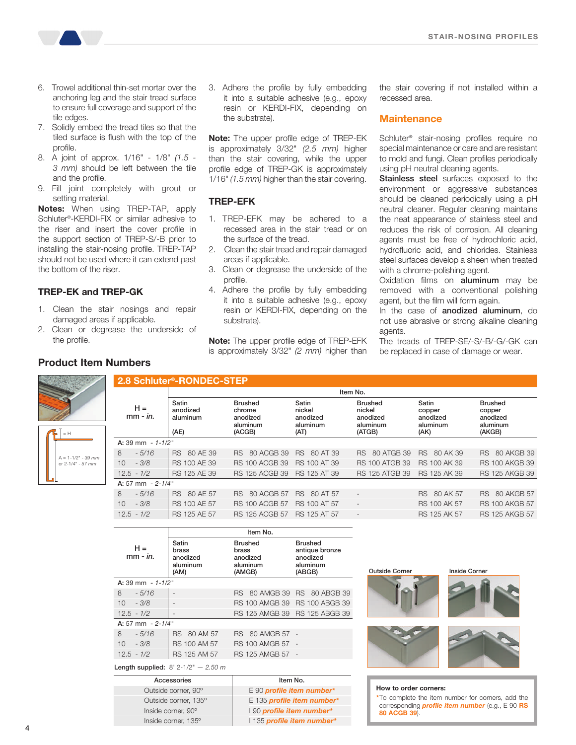

- 6. Trowel additional thin-set mortar over the anchoring leg and the stair tread surface to ensure full coverage and support of the tile edges.
- 7. Solidly embed the tread tiles so that the tiled surface is flush with the top of the profile.
- 8. A joint of approx. 1/16" 1/8" (1.5 3 mm) should be left between the tile and the profile.
- 9. Fill joint completely with grout or setting material.

Notes: When using TREP-TAP, apply Schluter®-KERDI-FIX or similar adhesive to the riser and insert the cover profile in the support section of TREP-S/-B prior to installing the stair-nosing profile. TREP-TAP should not be used where it can extend past the bottom of the riser.

#### TREP-EK and TREP-GK

- 1. Clean the stair nosings and repair damaged areas if applicable.
- 2. Clean or degrease the underside of the profile.

#### Product Item Numbers

 $-1-1/2" - 39$  mm or 2-1/4" - 57 mm = H

3. Adhere the profile by fully embedding it into a suitable adhesive (e.g., epoxy resin or KERDI-FIX, depending on the substrate).

Note: The upper profile edge of TREP-EK is approximately 3/32" (2.5 mm) higher than the stair covering, while the upper profile edge of TREP-GK is approximately 1/16" (1.5 mm) higher than the stair covering.

#### TREP-EFK

- 1. TREP-EFK may be adhered to a recessed area in the stair tread or on the surface of the tread.
- 2. Clean the stair tread and repair damaged areas if applicable.
- 3. Clean or degrease the underside of the profile.
- 4. Adhere the profile by fully embedding it into a suitable adhesive (e.g., epoxy resin or KERDI-FIX, depending on the substrate).

Note: The upper profile edge of TREP-EFK is approximately 3/32" (2 mm) higher than the stair covering if not installed within a recessed area.

#### **Maintenance**

Schluter® stair-nosing profiles require no special maintenance or care and are resistant to mold and fungi. Clean profiles periodically using pH neutral cleaning agents.

Stainless steel surfaces exposed to the environment or aggressive substances should be cleaned periodically using a pH neutral cleaner. Regular cleaning maintains the neat appearance of stainless steel and reduces the risk of corrosion. All cleaning agents must be free of hydrochloric acid, hydrofluoric acid, and chlorides. Stainless steel surfaces develop a sheen when treated with a chrome-polishing agent.

Oxidation films on **aluminum** may be removed with a conventional polishing agent, but the film will form again.

In the case of anodized aluminum, do not use abrasive or strong alkaline cleaning agents.

The treads of TREP-SE/-S/-B/-G/-GK can be replaced in case of damage or wear.

|                    |                     | 2.8 Schluter <sup>®</sup> -RONDEC-STEP |                                                            |                                                 |                                                            |                                                 |                                                            |
|--------------------|---------------------|----------------------------------------|------------------------------------------------------------|-------------------------------------------------|------------------------------------------------------------|-------------------------------------------------|------------------------------------------------------------|
|                    |                     | Item No.                               |                                                            |                                                 |                                                            |                                                 |                                                            |
|                    | $H =$<br>$mm - in.$ | Satin<br>anodized<br>aluminum<br>(AE)  | <b>Brushed</b><br>chrome<br>anodized<br>aluminum<br>(ACGB) | Satin<br>nickel<br>anodized<br>aluminum<br>(AT) | <b>Brushed</b><br>nickel<br>anodized<br>aluminum<br>(ATGB) | Satin<br>copper<br>anodized<br>aluminum<br>(AK) | <b>Brushed</b><br>copper<br>anodized<br>aluminum<br>(AKGB) |
|                    | A: 39 mm $-1-1/2$ " |                                        |                                                            |                                                 |                                                            |                                                 |                                                            |
| 8                  | $-5/16$             | 80 AE 39<br>RS.                        | 80 ACGB 39<br>RS.                                          | 80 AT 39<br><b>RS</b>                           | 80 ATGB 39<br>RS.                                          | 80 AK 39<br>RS.                                 | 80 AKGB 39<br>RS.                                          |
| 10                 | $-3/8$              | RS 100 AE 39                           | <b>RS 100 ACGB 39</b>                                      | <b>RS 100 AT 39</b>                             | <b>RS 100 ATGB 39</b>                                      | RS 100 AK 39                                    | <b>RS 100 AKGB 39</b>                                      |
|                    | $12.5 - 1/2$        | RS 125 AE 39                           | <b>RS 125 ACGB 39</b>                                      | RS 125 AT 39                                    | <b>RS 125 ATGB 39</b>                                      | RS 125 AK 39                                    | <b>RS 125 AKGB 39</b>                                      |
| A: 57 mm $-2-1/4"$ |                     |                                        |                                                            |                                                 |                                                            |                                                 |                                                            |
| 8                  | $-5/16$             | 80 AE 57<br>RS.                        | 80 ACGB 57<br>RS.                                          | <b>RS</b><br>80 AT 57                           | $\blacksquare$                                             | 80 AK 57<br>RS.                                 | 80 AKGB 57<br>RS.                                          |
| 10                 | $-3/8$              | <b>RS 100 AE 57</b>                    | <b>RS 100 ACGB 57</b>                                      | <b>RS 100 AT 57</b>                             | $\overline{\phantom{a}}$                                   | <b>RS 100 AK 57</b>                             | <b>RS 100 AKGB 57</b>                                      |
|                    | $12.5 - 1/2$        | RS 125 AE 57                           | <b>RS 125 ACGB 57</b>                                      | <b>RS 125 AT 57</b>                             | $\overline{\phantom{a}}$                                   | RS 125 AK 57                                    | <b>RS 125 AKGB 57</b>                                      |

|                        |                                                | Item No.                                                  |                                                                    |
|------------------------|------------------------------------------------|-----------------------------------------------------------|--------------------------------------------------------------------|
| $H =$<br>$mm - in.$    | Satin<br>brass<br>anodized<br>aluminum<br>(AM) | <b>Brushed</b><br>brass<br>anodized<br>aluminum<br>(AMGB) | <b>Brushed</b><br>antique bronze<br>anodized<br>aluminum<br>(ABGB) |
| A: 39 mm $- 1 - 1/2$ " |                                                |                                                           |                                                                    |
| 8<br>$-5/16$           |                                                |                                                           | RS 80 AMGB 39 RS 80 ABGB 39                                        |
| 10<br>$-3/8$           |                                                |                                                           | RS 100 AMGB 39 RS 100 ABGB 39                                      |
| $12.5 - 1/2$           |                                                |                                                           | RS 125 AMGB 39 RS 125 ABGB 39                                      |
| A: 57 mm $-2-1/4"$     |                                                |                                                           |                                                                    |
| 8<br>$-5/16$           | RS 80 AM 57                                    | RS 80 AMGB 57 -                                           |                                                                    |
| 10<br>$-3/8$           | RS 100 AM 57                                   | RS 100 AMGB 57 -                                          |                                                                    |
| $12.5 - 1/2$           | RS 125 AM 57                                   | RS 125 AMGB 57 -                                          |                                                                    |

Length supplied:  $8' 2-1/2" - 2.50 m$ 

| Accessories          | Item No.                   |
|----------------------|----------------------------|
| Outside corner, 90°  | E 90 profile item number*  |
| Outside corner, 135° | E 135 profile item number* |
| Inside corner, 90°   | 190 profile item number*   |
| Inside corner, 135°  | 1135 profile item number*  |



de Corner **Inside Corner** 

#### How to order corners:

\*To complete the item number for corners, add the corresponding *profile item number* (e.g., E 90 RS 80 ACGB 39).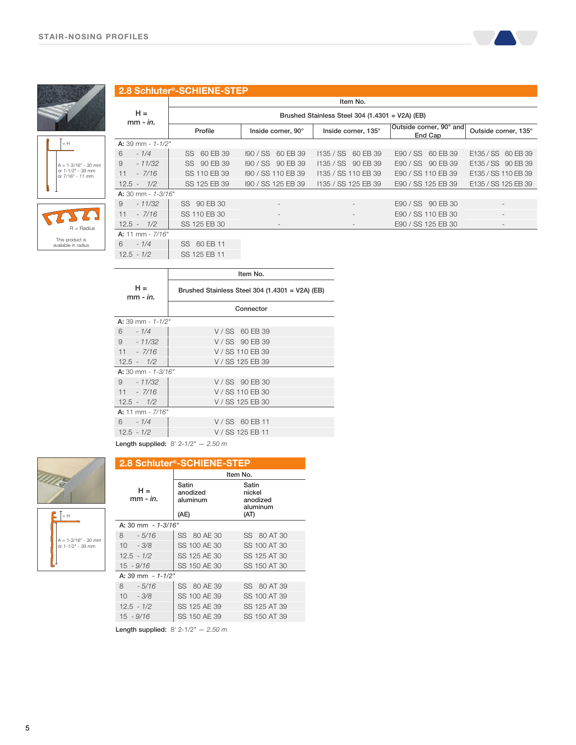

#### 2.8 Schluter®-SCHIENE-STEP



This product is available in radius

| $H =$<br>$mm - in.$  | Brushed Stainless Steel 304 (1.4301 = V2A) (EB) |                    |                     |                                    |                          |
|----------------------|-------------------------------------------------|--------------------|---------------------|------------------------------------|--------------------------|
|                      | Profile                                         | Inside corner, 90° | Inside corner, 135° | Outside corner, 90° and<br>End Cap | Outside corner, 135°     |
| A: 39 mm - $1-1/2$ " |                                                 |                    |                     |                                    |                          |
| 6<br>$-1/4$          | SS 60 EB 39                                     | 190 / SS 60 EB 39  | 1135 / SS 60 EB 39  | E90 / SS 60 EB 39                  | E135 / SS 60 EB 39       |
| 9<br>$-11/32$        | SS 90 EB 39                                     | 190 / SS 90 EB 39  | 1135 / SS 90 EB 39  | E90 / SS 90 EB 39                  | E135 / SS 90 EB 39       |
| 11<br>$-7/16$        | SS 110 EB 39                                    | 190 / SS 110 EB 39 | 1135 / SS 110 EB 39 | E90 / SS 110 EB 39                 | E135 / SS 110 EB 39      |
| $12.5 - 1/2$         | SS 125 EB 39                                    | 190 / SS 125 EB 39 | 1135 / SS 125 EB 39 | E90 / SS 125 EB 39                 | E135 / SS 125 EB 39      |
| $A: 30$ mm - 1-3/16" |                                                 |                    |                     |                                    |                          |
| 9<br>$-11/32$        | SS 90 EB 30                                     |                    |                     | E90 / SS 90 EB 30                  |                          |
| 11<br>$-7/16$        | SS 110 EB 30                                    |                    |                     | E90 / SS 110 EB 30                 | $\overline{\phantom{a}}$ |
| $12.5 - 1/2$         | SS 125 EB 30                                    |                    |                     | E90 / SS 125 EB 30                 |                          |
| A: 11 mm - $7/16"$   |                                                 |                    |                     |                                    |                          |
| 6<br>$-1/4$          | SS 60 EB 11                                     |                    |                     |                                    |                          |

Item No.

12.5 - 1/2 | SS 125 EB 11

|                      | Item No.                                          |
|----------------------|---------------------------------------------------|
| $H =$<br>$mm - in.$  | Brushed Stainless Steel 304 $(1.4301 - V2A)$ (EB) |
|                      | Connector                                         |
| A: 39 mm - $1-1/2$ " |                                                   |
| $6 - 1/4$            | V/SS 60 EB 39                                     |
| $9 - 11/32$          | V/SS 90 EB 39                                     |
| $11 - \frac{7}{16}$  | V / SS 110 EB 39                                  |
| $12.5 - 1/2$         | V / SS 125 EB 39                                  |
| $A: 30$ mm - 1-3/16" |                                                   |
| $9 - 11/32$          | V/SS 90 EB 30                                     |
| $11 - \frac{7}{16}$  | V / SS 110 EB 30                                  |
| $12.5 - 1/2$         | V / SS 125 EB 30                                  |
| A: 11 mm - $7/16"$   |                                                   |
| $6 - 1/4$            | V/SS 60 EB 11                                     |
| $12.5 - 1/2$         | V / SS 125 EB 11                                  |
|                      | $\sim$ $\sim$ $\sim$                              |

Length supplied:  $8'$  2-1/2"  $- 2.50 m$ 



| <b>2.8 Schluter<sup>®</sup>-SCHIENE-STEP</b> |                                       |                                                 |  |
|----------------------------------------------|---------------------------------------|-------------------------------------------------|--|
|                                              |                                       | Item No.                                        |  |
| $H =$<br>mm - <i>in.</i>                     | Satin<br>anodized<br>aluminum<br>(AE) | Satin<br>nickel<br>anodized<br>aluminum<br>(AT) |  |
| A: 30 mm - 1-3/16"                           |                                       |                                                 |  |
| 8.<br>$-5/16$                                | SS 80 AE 30                           | SS 80 AT 30                                     |  |
| $10 - 3/8$                                   | SS 100 AE 30                          | SS 100 AT 30                                    |  |
| $12.5 - 1/2$                                 | SS 125 AE 30                          | SS 125 AT 30                                    |  |
| $15 - 9/16$                                  | SS 150 AE 30                          | SS 150 AT 30                                    |  |
| A: 39 mm - 1-1/2"                            |                                       |                                                 |  |
| 8.<br>$-5/16$                                | SS 80 AE 39                           | SS 80 AT 39                                     |  |
| $10 - 3/8$                                   | SS 100 AE 39                          | SS 100 AT 39                                    |  |
| $12.5 - 1/2$                                 | SS 125 AE 39                          | SS 125 AT 39                                    |  |
| 15 - 9/16                                    | SS 150 AE 39                          | SS 150 AT 39                                    |  |

Length supplied:  $8'$  2-1/2"  $- 2.50 m$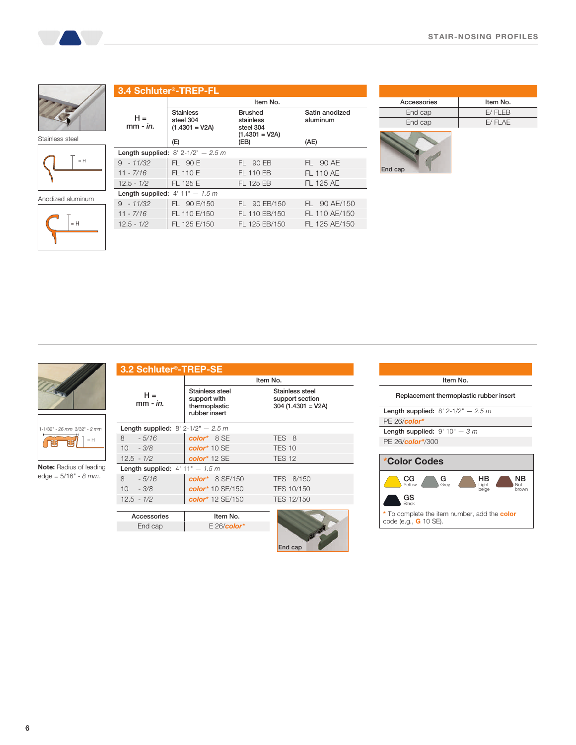



 $\,$  = H  $\,$ 





| Item No.<br><b>Stainless</b><br><b>Brushed</b><br>Satin anodized<br>$H =$<br>steel 304<br>stainless<br>aluminum<br>mm - <i>in</i> .<br>$(1.4301 = V2A)$<br>steel 304<br>$(1.4301 = V2A)$<br>(E)<br>(EB)<br>(AE)<br><b>Length supplied:</b> $8' 2 - 1/2'' - 2.5 m$<br>FL 90 E<br>$9 - 11/32$<br>FL 90 EB<br>FL 90 AE | 3.4 Schluter <sup>®</sup> -TREP-FL |  |  |  |
|---------------------------------------------------------------------------------------------------------------------------------------------------------------------------------------------------------------------------------------------------------------------------------------------------------------------|------------------------------------|--|--|--|
|                                                                                                                                                                                                                                                                                                                     |                                    |  |  |  |
|                                                                                                                                                                                                                                                                                                                     |                                    |  |  |  |
|                                                                                                                                                                                                                                                                                                                     |                                    |  |  |  |
|                                                                                                                                                                                                                                                                                                                     |                                    |  |  |  |
|                                                                                                                                                                                                                                                                                                                     |                                    |  |  |  |
| <b>FL 110 AE</b><br>FL 110 E<br>FL 110 EB<br>$11 - 7/16$                                                                                                                                                                                                                                                            |                                    |  |  |  |
| FL 125 AE<br>FL 125 E<br>FL 125 FB<br>$12.5 - 1/2$                                                                                                                                                                                                                                                                  |                                    |  |  |  |
| Length supplied: $4'$ 11" - 1.5 m                                                                                                                                                                                                                                                                                   |                                    |  |  |  |
| FL 90 E/150<br>FL 90 EB/150<br>$9 - 11/32$<br>FL 90 AE/150                                                                                                                                                                                                                                                          |                                    |  |  |  |
| FL 110 E/150<br>FL 110 EB/150<br>FL 110 AE/150<br>$11 - 7/16$                                                                                                                                                                                                                                                       |                                    |  |  |  |
| FL 125 E/150<br>FL 125 EB/150<br>$12.5 - 1/2$<br>FL 125 AE/150                                                                                                                                                                                                                                                      |                                    |  |  |  |

| Accessories | Item No. |
|-------------|----------|
| End cap     | E/FLEB   |
| End cap     | E/FLAE   |
|             |          |





1-1/32" - 26 mm 3/32" - 2 mm  $\widetilde{\mathbb{F}}$ **FET**  $= H$ 

Note: Radius of leading edge = 5/16" - 8 mm.

| 3.2 Schluter <sup>®</sup> -TREP-SE          |                                                                   |                                                            |
|---------------------------------------------|-------------------------------------------------------------------|------------------------------------------------------------|
|                                             |                                                                   | Item No.                                                   |
| $H =$<br>$mm - in.$                         | Stainless steel<br>support with<br>thermoplastic<br>rubber insert | Stainless steel<br>support section<br>$304$ (1.4301 = V2A) |
| <b>Length supplied:</b> $8' 2-1/2" - 2.5 m$ |                                                                   |                                                            |
| 8<br>$-5/16$                                | color* 8 SE                                                       | TES 8                                                      |
| $10 - 3/8$                                  | $color*{gray}*10$ SE                                              | <b>TES 10</b>                                              |
| $12.5 - 1/2$                                | $color*{gray}*12$ SE                                              | <b>TES 12</b>                                              |
| Length supplied: $4'$ 11" - 1.5 m           |                                                                   |                                                            |
| 8<br>$-5/16$                                | $color*{red}{color*} 8 SE/150$                                    | TES 8/150                                                  |
| $10 - 3/8$                                  | color* 10 SE/150                                                  | TES 10/150                                                 |
| $12.5 - 1/2$                                | color* 12 SE/150                                                  | TES 12/150                                                 |
|                                             |                                                                   |                                                            |
| Accessories                                 | Item No.                                                          |                                                            |
| End cap                                     | $E 26$ /color*                                                    |                                                            |
|                                             |                                                                   | End cap                                                    |

|                                   | Item No.                                                  |
|-----------------------------------|-----------------------------------------------------------|
|                                   | Replacement thermoplastic rubber insert                   |
|                                   | <b>Length supplied:</b> $8' 2-1/2'' - 2.5 m$              |
| $PE 26/c$ olor*                   |                                                           |
| Length supplied: $9'$ 10" $-$ 3 m |                                                           |
| PE 26/color*/300                  |                                                           |
|                                   |                                                           |
| *Color Codes                      |                                                           |
| CG<br>Yellow                      | NR<br>$G_{\text{Grev}}$<br>Liaht<br>Nut<br>brown<br>beige |
| GS.<br><b>Black</b>               |                                                           |
|                                   |                                                           |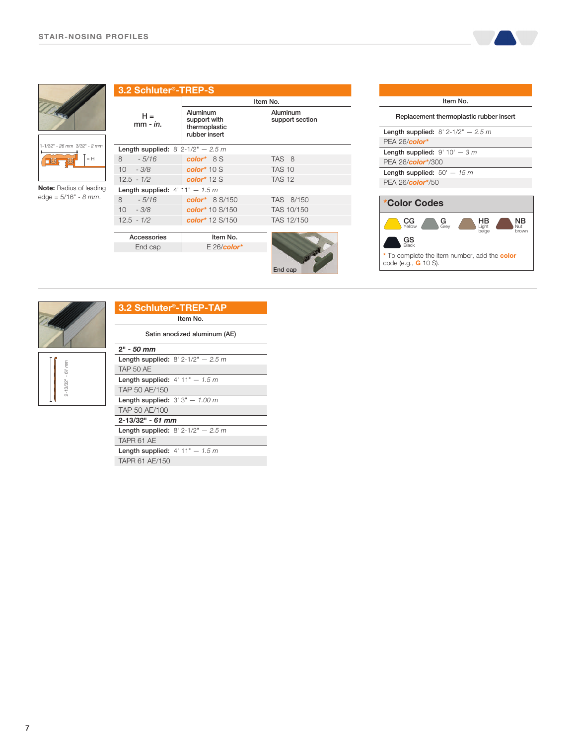$\overline{a}$ 







Note: Radius of leading  $edge = 5/16" - 8 mm.$ 

| 3.2 Schluter <sup>®</sup> -TREP-S                          |                                                                                               |
|------------------------------------------------------------|-----------------------------------------------------------------------------------------------|
|                                                            | Item No.                                                                                      |
| Aluminum<br>support with<br>thermoplastic<br>rubber insert | Aluminum<br>support section                                                                   |
|                                                            |                                                                                               |
| $color*{red}{color*} 8S$                                   | TAS 8                                                                                         |
| color $*$ 10 S                                             | <b>TAS 10</b>                                                                                 |
| color $*$ 12 S                                             | <b>TAS 12</b>                                                                                 |
|                                                            |                                                                                               |
| color* $8 S/150$                                           | TAS 8/150                                                                                     |
| color* 10 S/150                                            | TAS 10/150                                                                                    |
| color* 12 S/150                                            | TAS 12/150                                                                                    |
|                                                            |                                                                                               |
|                                                            |                                                                                               |
| $E 26$ /color*                                             |                                                                                               |
|                                                            | End cap                                                                                       |
|                                                            | <b>Length supplied:</b> $8' 2-1/2'' - 2.5 m$<br>Length supplied: $4'$ 11" - 1.5 m<br>Item No. |

| Item No.                                                                                     |  |  |
|----------------------------------------------------------------------------------------------|--|--|
| Replacement thermoplastic rubber insert                                                      |  |  |
| <b>Length supplied:</b> $8' 2 - 1/2'' - 2.5 m$                                               |  |  |
| $PEA 26/c$ olor*                                                                             |  |  |
| Length supplied: $9'$ 10' $-$ 3 m                                                            |  |  |
| PEA 26/color*/300                                                                            |  |  |
| Length supplied: $50' - 15 m$                                                                |  |  |
| PEA 26/color*/50                                                                             |  |  |
|                                                                                              |  |  |
| *Color Codes                                                                                 |  |  |
| $\rm{CG}_{\rm Yellow}$<br>$\setminus$ Grev<br>I iaht<br>beiae<br>brown<br>GS<br><b>Rlack</b> |  |  |
| * To complete the item number, add the <b>color</b><br>code (e.g., <b>G</b> 10 S).           |  |  |



2-13/32" - 61 mm

 $2\text{--}13/32^{\mathrm{u}}$  -  $61\ mm$ 

| 3.2 Schluter <sup>®</sup> -TREP-TAP |
|-------------------------------------|
| Item No.                            |
| Satin anodized aluminum (AE)        |

| $2" - 50$ mm                        |                                                |  |
|-------------------------------------|------------------------------------------------|--|
|                                     | <b>Length supplied:</b> $8' 2 - 1/2'' - 2.5 m$ |  |
| <b>TAP 50 AE</b>                    |                                                |  |
| Length supplied: $4'$ 11" $- 1.5 m$ |                                                |  |
| TAP 50 AE/150                       |                                                |  |
| Length supplied: $3'3'' - 1.00$ m   |                                                |  |
| TAP 50 AE/100                       |                                                |  |
| $2 - 13/32" - 61$ mm                |                                                |  |
|                                     | <b>Length supplied:</b> $8' 2 - 1/2'' - 2.5 m$ |  |
| TAPR 61 AE                          |                                                |  |
|                                     |                                                |  |

Length supplied:  $4' 11" - 1.5 m$ TAPR 61 AE/150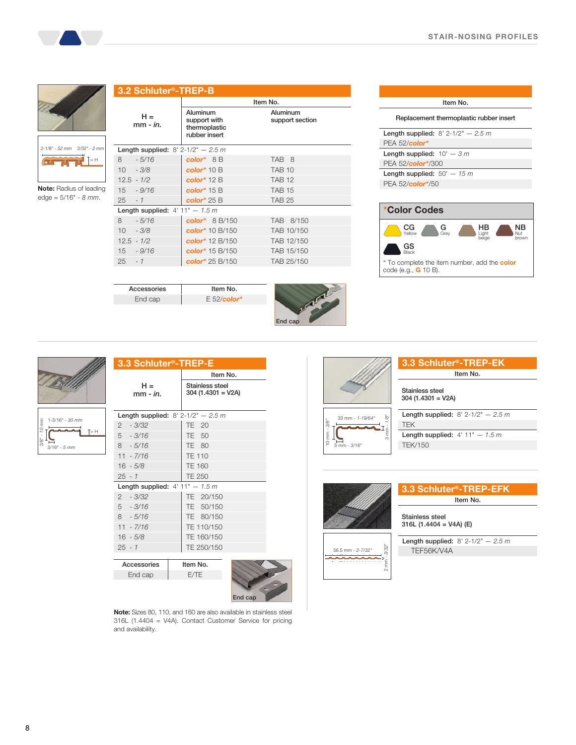

2-1/8" - 52 mm 3/32" - 2 mm **ELLER DE PRE ELET** 

Note: Radius of leading edge = 5/16" - 8 mm.

| 3.2 Schluter <sup>®</sup> -TREP-B           |                                   |                                                            |                             |  |
|---------------------------------------------|-----------------------------------|------------------------------------------------------------|-----------------------------|--|
|                                             |                                   | Item No.                                                   |                             |  |
|                                             | $H =$<br>mm - <i>in</i> .         | Aluminum<br>support with<br>thermoplastic<br>rubber insert | Aluminum<br>support section |  |
| <b>Length supplied:</b> $8' 2-1/2" - 2.5 m$ |                                   |                                                            |                             |  |
| 8                                           | $-5/16$                           | $color^* 8B$                                               | TAB 8                       |  |
| $10 - 3/8$                                  |                                   | color $*$ 10 B                                             | <b>TAB 10</b>               |  |
| $12.5 - 1/2$                                |                                   | color $*$ 12 B                                             | <b>TAB 12</b>               |  |
|                                             | $15 - 9/16$                       | color $*$ 15 B                                             | <b>TAB 15</b>               |  |
| $25 - 1$                                    |                                   | color $*$ 25 B                                             | <b>TAB 25</b>               |  |
|                                             | Length supplied: $4'$ 11" - 1.5 m |                                                            |                             |  |
| 8                                           | $-5/16$                           | color* $8 B/150$                                           | TAB 8/150                   |  |
| $10 - 3/8$                                  |                                   | color* 10 B/150                                            | TAB 10/150                  |  |
| $12.5 - 1/2$                                |                                   | color* 12 B/150                                            | TAB 12/150                  |  |
|                                             | $15 - 9/16$                       | color* 15 B/150                                            | TAB 15/150                  |  |
| $25 - 1$                                    |                                   | color* 25 B/150                                            | TAB 25/150                  |  |
|                                             |                                   |                                                            |                             |  |



| Item No.                                       |  |  |
|------------------------------------------------|--|--|
| Replacement thermoplastic rubber insert        |  |  |
| <b>Length supplied:</b> $8' 2 - 1/2'' - 2.5 m$ |  |  |
| PEA 52/color*                                  |  |  |
| Length supplied: $10' - 3 m$                   |  |  |
| PEA 52/color*/300                              |  |  |
| Length supplied: $50' - 15 m$                  |  |  |
| PEA 52/ <b>color</b> */50                      |  |  |
|                                                |  |  |
|                                                |  |  |







| 3.3 Schluter <sup>®</sup> -TREP-E |                                             |                                         |  |
|-----------------------------------|---------------------------------------------|-----------------------------------------|--|
|                                   |                                             | Item No.                                |  |
|                                   | $H =$<br>$mm - in.$                         | Stainless steel<br>$304$ (1.4301 = V2A) |  |
|                                   | <b>Length supplied:</b> $8' 2-1/2" - 2.5 m$ |                                         |  |
|                                   | $2 - 3/32$                                  | TE 20                                   |  |
|                                   | $5 - 3/16$                                  | TE 50                                   |  |
|                                   | $8 - 5/16$                                  | TE 80                                   |  |
|                                   | $11 - 7/16$                                 | <b>TE 110</b>                           |  |
|                                   | $16 - 5/8$                                  | <b>TE 160</b>                           |  |
|                                   | $25 - 1$                                    | <b>TE 250</b>                           |  |
|                                   | Length supplied: $4'$ 11" - 1.5 m           |                                         |  |
|                                   | $2 - 3/32$                                  | TE 20/150                               |  |
|                                   | $5 - 3/16$                                  | TE 50/150                               |  |
|                                   | $8 - 5/16$                                  | TE 80/150                               |  |
|                                   | $11 - 7/16$                                 | TE 110/150                              |  |
|                                   | $16 - 5/8$                                  | TE 160/150                              |  |
|                                   | $25 - 1$                                    | TE 250/150                              |  |
|                                   |                                             |                                         |  |

Accessories Item No. End cap E 52/color\*

Accessories Item No. End cap E/TE



Note: Sizes 80, 110, and 160 are also available in stainless steel 316L (1.4404 = V4A). Contact Customer Service for pricing and availability.



56.5 mm - 2-7/32"

2 mm - 3/32"

ecn

 $\overline{\mathbf{2}}$ 

Stainless steel

316L (1.4404 = V4A) (E)

Length supplied:  $8'$  2-1/2"  $- 2.5 m$ TEF56K/V4A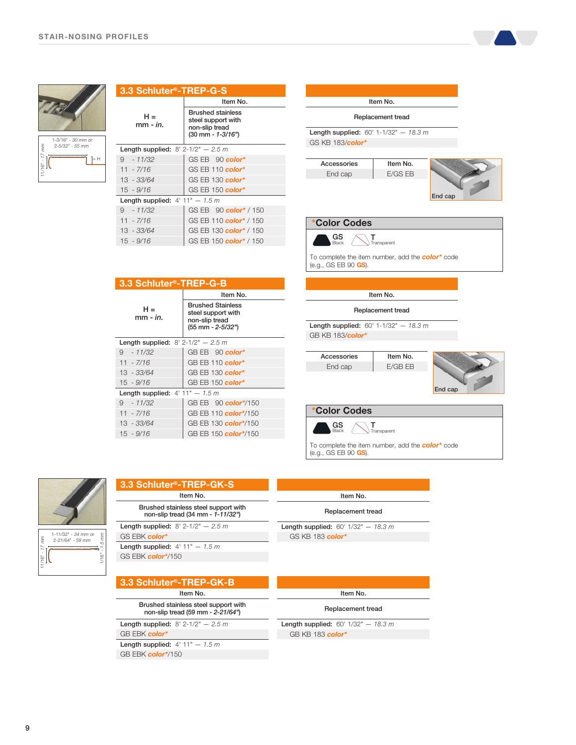

| 3.3 Schluter®-TREP-G-S                      |                                                                                       |  |
|---------------------------------------------|---------------------------------------------------------------------------------------|--|
|                                             | Item No.                                                                              |  |
| н =<br>$mm - in.$                           | <b>Brushed stainless</b><br>steel support with<br>non-slip tread<br>(30 mm - 1-3/16") |  |
| <b>Length supplied:</b> $8' 2-1/2" - 2.5 m$ |                                                                                       |  |
| $9 - 11/32$                                 | GS EB 90 color*                                                                       |  |
| $11 - \frac{7}{16}$                         | GS EB 110 color*                                                                      |  |
| $13 - 33/64$                                | GS EB 130 color*                                                                      |  |
| $15 - 9/16$                                 | GS EB 150 color*                                                                      |  |
| Length supplied: $4'$ 11" - 1.5 m           |                                                                                       |  |
| $9 - 11/32$                                 | GS EB 90 color <sup>*</sup> / 150                                                     |  |
| $11 - 7/16$                                 | GS EB 110 color <sup>*</sup> / 150                                                    |  |
| $13 - 33/64$                                | GS EB 130 color* / 150                                                                |  |
| $15 - 9/16$                                 | GS EB 150 color <sup>*</sup> / 150                                                    |  |



| 3.3 Schluter <sup>®</sup> -TREP-G-B         |                                                                                       |  |  |
|---------------------------------------------|---------------------------------------------------------------------------------------|--|--|
|                                             | Item No.                                                                              |  |  |
| $H =$<br>$mm - in$                          | <b>Brushed Stainless</b><br>steel support with<br>non-slip tread<br>(55 mm - 2-5/32") |  |  |
| <b>Length supplied:</b> $8' 2-1/2" - 2.5 m$ |                                                                                       |  |  |
| $9 - 11/32$                                 | $GB EB$ 90 color*                                                                     |  |  |
| $11 - 7/16$                                 | GB EB 110 color*                                                                      |  |  |
| $13 - 33/64$                                | GB EB 130 color*                                                                      |  |  |
| $15 - 9/16$                                 | GB EB $150$ color <sup>*</sup>                                                        |  |  |
| Length supplied: $4'$ 11" - 1.5 m           |                                                                                       |  |  |
| $9 - 11/32$                                 | GB EB 90 color*/150                                                                   |  |  |
| $11 - 7/16$                                 | GB EB 110 color*/150                                                                  |  |  |
| 13 - 33/64                                  | GB EB 130 color*/150                                                                  |  |  |
| $15 - 9/16$                                 | GB EB 150 color*/150                                                                  |  |  |



1/16" - 1.5 mm

m

1-11/32" - 34 mm or 2-21/64" - 59 mm

11/16" - 17 mm

ัะ∬

#### 3.3 Schluter®-TREP-GK-S Item No.

Brushed stainless steel support with non-slip tread (34 mm - 1-11/32")

Length supplied:  $8'$  2-1/2"  $- 2.5 m$ GS EBK color\*

Length supplied:  $4' 11" - 1.5 m$ GS EBK color\*/150

3.3 Schluter®-TREP-GK-B

Item No. Brushed stainless steel support with

non-slip tread (59 mm - 2-21/64")

Length supplied:  $8'$  2-1/2"  $- 2.5 m$ GB EBK color\*

Length supplied:  $4' 11" - 1.5 m$ 

GB EBK color\*/150

# Item No.

To complete the item number, add the **color**\* code

Replacement tread

Length supplied:  $60'$  1/32"  $- 18.3 m$ GS KB 183 color\*

(e.g., GS EB 90 GS).

| Item No.          |  |
|-------------------|--|
| Replacement tread |  |

Length supplied:  $60'$  1/32"  $- 18.3 m$ GB KB 183 color\*